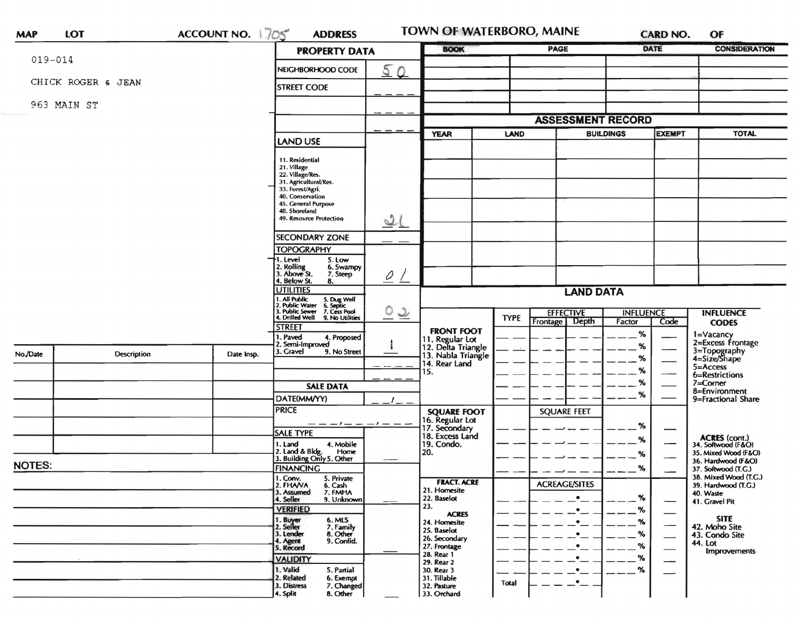|                           |                    |                                                                           | ACCOUNT NO. 1705<br><b>ADDRESS</b>                                                                                        |                          | <b>TOWN OF WATERBORO, MAINE</b>                                                     |             |                                               |                            | <b>CARD NO.</b>          | OF                                                          |  |
|---------------------------|--------------------|---------------------------------------------------------------------------|---------------------------------------------------------------------------------------------------------------------------|--------------------------|-------------------------------------------------------------------------------------|-------------|-----------------------------------------------|----------------------------|--------------------------|-------------------------------------------------------------|--|
| $019 - 014$               |                    |                                                                           | <b>PROPERTY DATA</b>                                                                                                      |                          | <b>BOOK</b>                                                                         |             | <b>PAGE</b>                                   |                            | DATE                     | <b>CONSIDERATION</b>                                        |  |
|                           |                    |                                                                           | NEIGHBORHOOD CODE                                                                                                         | 50                       |                                                                                     |             |                                               |                            |                          |                                                             |  |
|                           | CHICK ROGER & JEAN |                                                                           | <b>STREET CODE</b>                                                                                                        |                          |                                                                                     |             |                                               |                            |                          |                                                             |  |
|                           | 963 MAIN ST        |                                                                           |                                                                                                                           |                          |                                                                                     |             |                                               |                            |                          |                                                             |  |
|                           |                    |                                                                           |                                                                                                                           |                          |                                                                                     |             | <b>ASSESSMENT RECORD</b>                      |                            |                          |                                                             |  |
|                           |                    |                                                                           | <b>LAND USE</b>                                                                                                           |                          | <b>YEAR</b>                                                                         | LAND        |                                               | <b>BUILDINGS</b>           | <b>EXEMPT</b>            | <b>TOTAL</b>                                                |  |
|                           |                    |                                                                           | 11. Residential                                                                                                           |                          |                                                                                     |             |                                               |                            |                          |                                                             |  |
|                           |                    |                                                                           | 21. Village<br>22. Village/Res.                                                                                           |                          |                                                                                     |             |                                               |                            |                          |                                                             |  |
|                           |                    |                                                                           | 31. Agricultural/Res.<br>33. Forest/Agri.                                                                                 |                          |                                                                                     |             |                                               |                            |                          |                                                             |  |
|                           |                    |                                                                           | 40. Conservation<br>45. General Purpose                                                                                   |                          |                                                                                     |             |                                               |                            |                          |                                                             |  |
|                           |                    |                                                                           | 48. Shoreland<br>49. Resource Protection                                                                                  | 2(                       |                                                                                     |             |                                               |                            |                          |                                                             |  |
|                           |                    |                                                                           | <b>SECONDARY ZONE</b>                                                                                                     |                          |                                                                                     |             |                                               |                            |                          |                                                             |  |
|                           |                    |                                                                           | <b>TOPOGRAPHY</b>                                                                                                         |                          |                                                                                     |             |                                               |                            |                          |                                                             |  |
|                           |                    | I. Level<br>5. Low<br>2. Rolling<br>6. Swampy<br>3. Above St.<br>7. Steep |                                                                                                                           |                          |                                                                                     |             |                                               |                            |                          |                                                             |  |
|                           |                    |                                                                           | 4. Below St.<br>8.<br><b>UTILITIES</b>                                                                                    | $\overline{\mathcal{L}}$ | <b>LAND DATA</b>                                                                    |             |                                               |                            |                          |                                                             |  |
|                           |                    |                                                                           | 1. All Public 5. Dug Well<br>2. Public Water 6. Septic<br>3. Public Sewer 7. Cess Pool<br>4. Drilled Well 9. No Utilities |                          |                                                                                     |             |                                               |                            |                          |                                                             |  |
|                           |                    |                                                                           |                                                                                                                           | <u>ಂ ೬</u>               |                                                                                     | <b>TYPE</b> | <b>EFFECTIVE</b><br>Depth<br>Frontage         | <b>INFLUENCE</b><br>Factor | Code                     | <b>INFLUENCE</b><br><b>CODES</b>                            |  |
|                           |                    |                                                                           | <b>STREET</b><br>. Paved<br>4. Proposed                                                                                   |                          |                                                                                     |             |                                               |                            |                          |                                                             |  |
|                           |                    |                                                                           |                                                                                                                           |                          | <b>FRONT FOOT</b>                                                                   |             |                                               | %                          |                          |                                                             |  |
|                           |                    |                                                                           | 2. Semi-Improved                                                                                                          |                          |                                                                                     |             |                                               | %                          |                          | 1=Vacancy<br>2=Excess Frontage                              |  |
|                           | Description        | Date Insp.                                                                | 3. Gravel<br>9. No Street                                                                                                 |                          |                                                                                     |             |                                               | %                          |                          | 3=Topography<br>4=Size/Shape                                |  |
|                           |                    |                                                                           |                                                                                                                           |                          | 11. Regular Lot<br>12. Delta Triangle<br>13. Nabla Triangle<br>14. Rear Land<br>15. |             |                                               | %                          |                          | $5 =$ Access<br>6=Restrictions                              |  |
|                           |                    |                                                                           | <b>SALE DATA</b>                                                                                                          |                          |                                                                                     |             |                                               | %                          |                          | $7 =$ Corner                                                |  |
|                           |                    |                                                                           | DATE(MM/YY)                                                                                                               |                          |                                                                                     |             |                                               | %                          |                          | 8=Environment<br>9=Fractional Share                         |  |
|                           |                    |                                                                           | <b>PRICE</b>                                                                                                              |                          |                                                                                     |             | <b>SQUARE FEET</b>                            |                            |                          |                                                             |  |
|                           |                    |                                                                           | — — — — — —                                                                                                               | $-t---$                  |                                                                                     |             |                                               | %                          |                          |                                                             |  |
|                           |                    |                                                                           | <b>SALE TYPE</b>                                                                                                          |                          | <b>SQUARE FOOT</b><br>16. Regular Lot<br>17. Secondary<br>18. Excess Land           |             |                                               | %                          |                          |                                                             |  |
|                           |                    |                                                                           | 1. Land<br>4. Mobile<br>Home                                                                                              |                          | 19. Condo.<br>20.                                                                   |             |                                               | %                          |                          | ACRES (cont.)<br>34. Softwood (F&O)<br>35. Mixed Wood (F&O) |  |
| No./Date<br><b>NOTES:</b> |                    |                                                                           | 2. Land & Bldg. Home<br>3. Building Only 5. Other                                                                         |                          |                                                                                     |             |                                               |                            |                          | 36. Hardwood (F&O)                                          |  |
|                           |                    |                                                                           | <b>FINANCING</b><br>1. Conv.<br>5. Private                                                                                |                          |                                                                                     |             |                                               | %                          |                          | 37. Softwood (T.G.)<br>38. Mixed Wood (T.G.)                |  |
|                           |                    |                                                                           | 2. FHANA<br>6. Cash<br>3. Assumed<br>7. FMHA                                                                              |                          | <b>FRACT. ACRE</b><br>21. Homesite                                                  |             | <b>ACREAGE/SITES</b>                          |                            |                          | 39. Hardwood (T.G.)<br>40. Waste                            |  |
|                           |                    |                                                                           | 4. Seller<br>9. Unknown                                                                                                   |                          | 22. Baselot                                                                         |             |                                               | %                          | —                        | 41. Gravel Pit                                              |  |
|                           |                    |                                                                           | <b>VERIFIED</b>                                                                                                           |                          | 23.<br><b>ACRES</b>                                                                 |             | $\bullet$                                     | %                          |                          |                                                             |  |
|                           |                    |                                                                           | 1. Buyer<br>2. Seller<br>6. MLS<br>7. Family                                                                              |                          | 24. Homesite<br>25. Baselot                                                         |             | $\bullet$                                     | %                          | $\overline{\phantom{0}}$ | <b>SITE</b><br>42. Moho Site                                |  |
|                           |                    |                                                                           | 3. Lender<br>8. Other<br>9. Confid.                                                                                       |                          | 26. Secondary                                                                       |             | $\bullet$                                     | %                          | $\overline{\phantom{0}}$ | 43. Condo Site                                              |  |
|                           |                    |                                                                           | 4. Agent<br>5. Record                                                                                                     |                          | 27. Frontage<br>28. Rear 1                                                          |             | $\bullet$                                     | %                          | $\overline{\phantom{0}}$ | 44. Lot<br>Improvements                                     |  |
|                           |                    |                                                                           | <b>VALIDITY</b>                                                                                                           |                          | 29. Rear 2                                                                          |             | $\bullet$                                     | %                          | —                        |                                                             |  |
|                           |                    |                                                                           | 1. Valid<br>5. Partial<br>2. Related<br>6. Exempt<br>7. Changed                                                           |                          | 30. Rear 3<br>31. Tillable                                                          | Total       | $\bullet$<br>$\cdot$ $\overline{\phantom{a}}$ | %                          | $\overline{\phantom{0}}$ |                                                             |  |